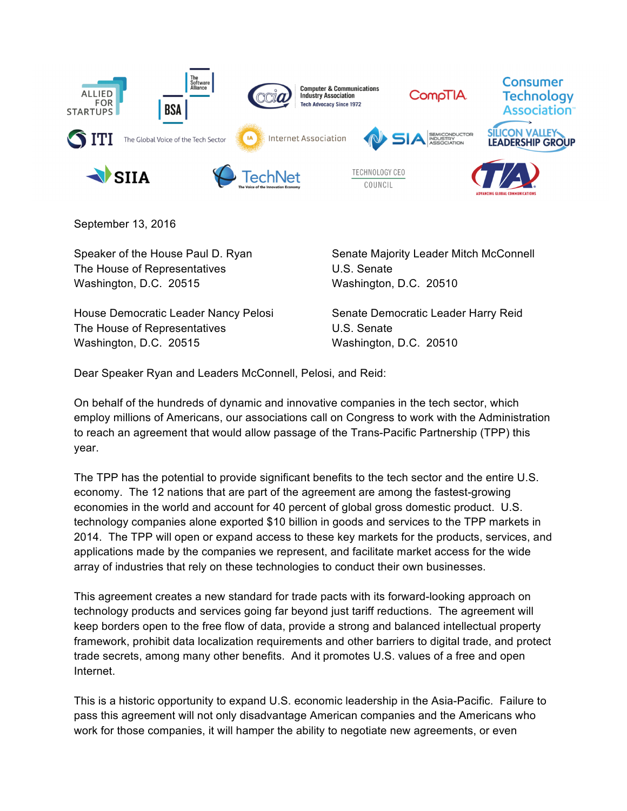

September 13, 2016

The House of Representatives U.S. Senate Washington, D.C. 20515 Washington, D.C. 20510

House Democratic Leader Nancy Pelosi Senate Democratic Leader Harry Reid The House of Representatives The House of Representatives Washington, D.C. 20515 Washington, D.C. 20510

Speaker of the House Paul D. Ryan Senate Majority Leader Mitch McConnell

Dear Speaker Ryan and Leaders McConnell, Pelosi, and Reid:

On behalf of the hundreds of dynamic and innovative companies in the tech sector, which employ millions of Americans, our associations call on Congress to work with the Administration to reach an agreement that would allow passage of the Trans-Pacific Partnership (TPP) this year.

The TPP has the potential to provide significant benefits to the tech sector and the entire U.S. economy. The 12 nations that are part of the agreement are among the fastest-growing economies in the world and account for 40 percent of global gross domestic product. U.S. technology companies alone exported \$10 billion in goods and services to the TPP markets in 2014. The TPP will open or expand access to these key markets for the products, services, and applications made by the companies we represent, and facilitate market access for the wide array of industries that rely on these technologies to conduct their own businesses.

This agreement creates a new standard for trade pacts with its forward-looking approach on technology products and services going far beyond just tariff reductions. The agreement will keep borders open to the free flow of data, provide a strong and balanced intellectual property framework, prohibit data localization requirements and other barriers to digital trade, and protect trade secrets, among many other benefits. And it promotes U.S. values of a free and open Internet.

This is a historic opportunity to expand U.S. economic leadership in the Asia-Pacific. Failure to pass this agreement will not only disadvantage American companies and the Americans who work for those companies, it will hamper the ability to negotiate new agreements, or even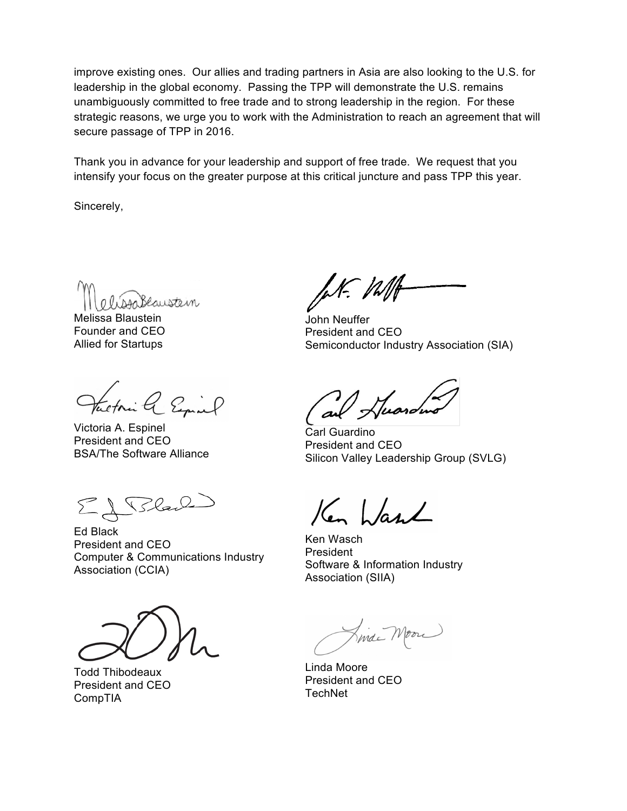improve existing ones. Our allies and trading partners in Asia are also looking to the U.S. for leadership in the global economy. Passing the TPP will demonstrate the U.S. remains unambiguously committed to free trade and to strong leadership in the region. For these strategic reasons, we urge you to work with the Administration to reach an agreement that will secure passage of TPP in 2016.

Thank you in advance for your leadership and support of free trade. We request that you intensify your focus on the greater purpose at this critical juncture and pass TPP this year.

Sincerely,

Slaustein

Melissa Blaustein Founder and CEO Allied for Startups

tectoria & Espinal

Victoria A. Espinel President and CEO BSA/The Software Alliance

El Blan

Ed Black President and CEO Computer & Communications Industry Association (CCIA)

Todd Thibodeaux President and CEO CompTIA

fet. Vallt

John Neuffer President and CEO Semiconductor Industry Association (SIA)

Carl Guardino President and CEO Silicon Valley Leadership Group (SVLG)

Ken bland

Ken Wasch President Software & Information Industry Association (SIIA)

Final Moore

Linda Moore President and CEO **TechNet**